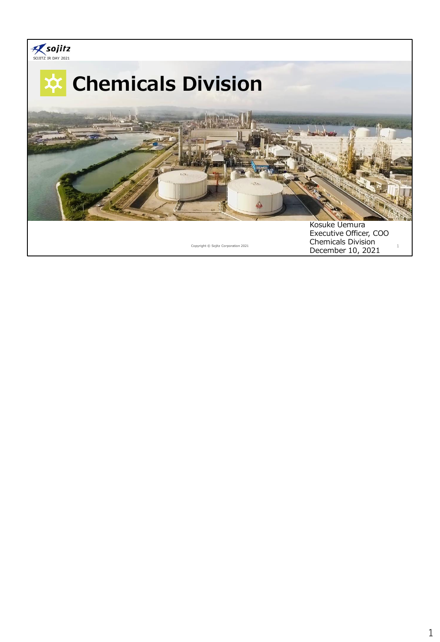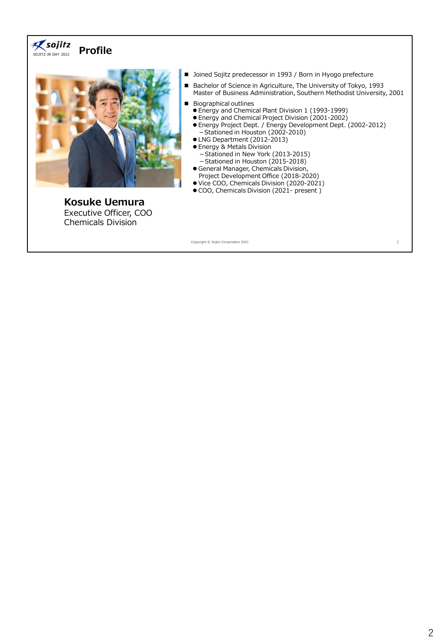#### $\mathcal{R}$  sojitz **Profile** SOJITZ IR DAY 2021



**Kosuke Uemura** Executive Officer, COO Chemicals Division

- Joined Sojitz predecessor in 1993 / Born in Hyogo prefecture
- Bachelor of Science in Agriculture, The University of Tokyo, 1993 Master of Business Administration, Southern Methodist University, 2001
- Biographical outlines
	- ⚫ Energy and Chemical Plant Division 1 (1993-1999)
	- ⚫ Energy and Chemical Project Division (2001-2002)
	- ⚫ Energy Project Dept. / Energy Development Dept. (2002-2012) -Stationed in Houston (2002-2010)
	- ⚫ LNG Department (2012-2013)
	- ⚫ Energy & Metals Division - Stationed in New York (2013-2015) -Stationed in Houston (2015-2018)
	- ⚫ General Manager, Chemicals Division,
	- Project Development Office (2018-2020)
	- ⚫ Vice COO, Chemicals Division (2020-2021)
	- COO, Chemicals Division (2021- present)

Copyright © Sojitz Corporation 2021 2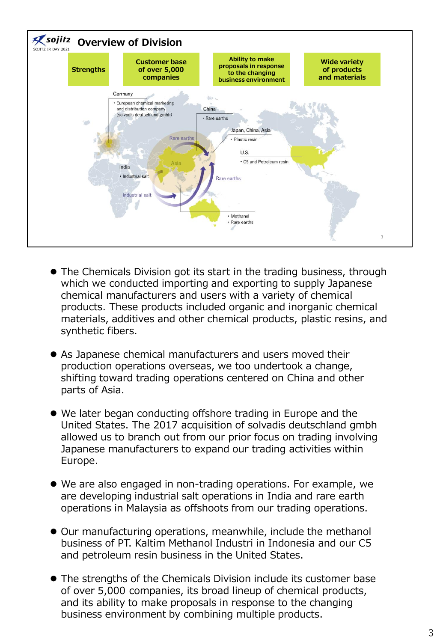

- ⚫ The Chemicals Division got its start in the trading business, through which we conducted importing and exporting to supply Japanese chemical manufacturers and users with a variety of chemical products. These products included organic and inorganic chemical materials, additives and other chemical products, plastic resins, and synthetic fibers.
- ⚫ As Japanese chemical manufacturers and users moved their production operations overseas, we too undertook a change, shifting toward trading operations centered on China and other parts of Asia.
- ⚫ We later began conducting offshore trading in Europe and the United States. The 2017 acquisition of solvadis deutschland gmbh allowed us to branch out from our prior focus on trading involving Japanese manufacturers to expand our trading activities within Europe.
- ⚫ We are also engaged in non-trading operations. For example, we are developing industrial salt operations in India and rare earth operations in Malaysia as offshoots from our trading operations.
- ⚫ Our manufacturing operations, meanwhile, include the methanol business of PT. Kaltim Methanol Industri in Indonesia and our C5 and petroleum resin business in the United States.
- ⚫ The strengths of the Chemicals Division include its customer base of over 5,000 companies, its broad lineup of chemical products, and its ability to make proposals in response to the changing business environment by combining multiple products.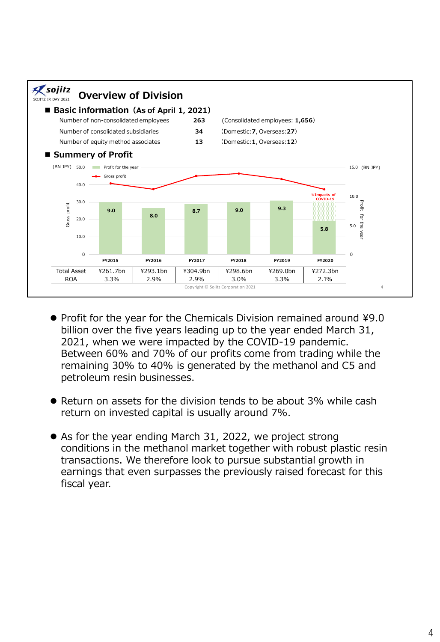

- Profit for the year for the Chemicals Division remained around ¥9.0 billion over the five years leading up to the year ended March 31, 2021, when we were impacted by the COVID-19 pandemic. Between 60% and 70% of our profits come from trading while the remaining 30% to 40% is generated by the methanol and C5 and petroleum resin businesses.
- ⚫ Return on assets for the division tends to be about 3% while cash return on invested capital is usually around 7%.
- As for the year ending March 31, 2022, we project strong conditions in the methanol market together with robust plastic resin transactions. We therefore look to pursue substantial growth in earnings that even surpasses the previously raised forecast for this fiscal year.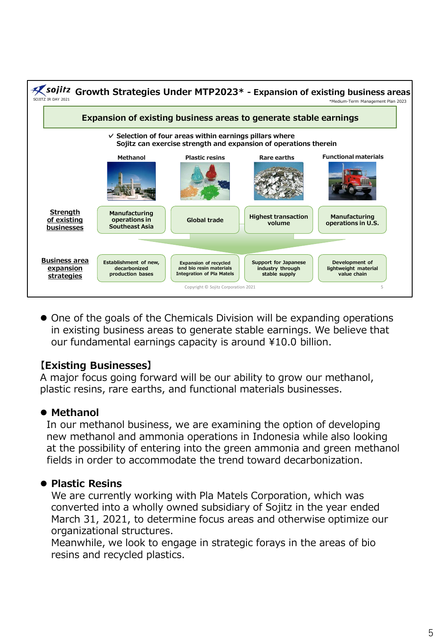

⚫ One of the goals of the Chemicals Division will be expanding operations in existing business areas to generate stable earnings. We believe that our fundamental earnings capacity is around ¥10.0 billion.

# **【Existing Businesses】**

A major focus going forward will be our ability to grow our methanol, plastic resins, rare earths, and functional materials businesses.

# ⚫ **Methanol**

In our methanol business, we are examining the option of developing new methanol and ammonia operations in Indonesia while also looking at the possibility of entering into the green ammonia and green methanol fields in order to accommodate the trend toward decarbonization.

# ⚫ **Plastic Resins**

We are currently working with Pla Matels Corporation, which was converted into a wholly owned subsidiary of Sojitz in the year ended March 31, 2021, to determine focus areas and otherwise optimize our organizational structures.

Meanwhile, we look to engage in strategic forays in the areas of bio resins and recycled plastics.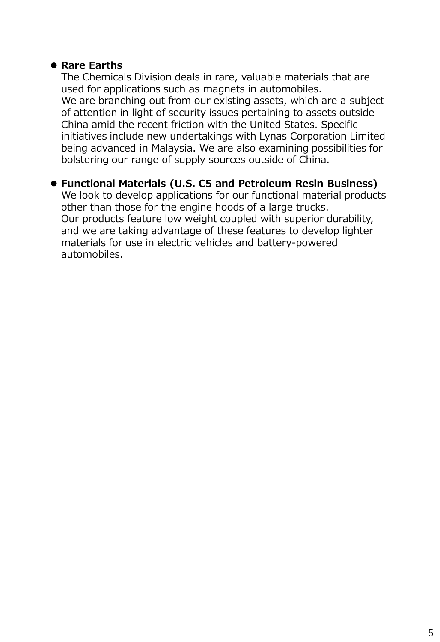### ⚫ **Rare Earths**

The Chemicals Division deals in rare, valuable materials that are used for applications such as magnets in automobiles. We are branching out from our existing assets, which are a subject of attention in light of security issues pertaining to assets outside China amid the recent friction with the United States. Specific initiatives include new undertakings with Lynas Corporation Limited being advanced in Malaysia. We are also examining possibilities for bolstering our range of supply sources outside of China.

# ⚫ **Functional Materials (U.S. C5 and Petroleum Resin Business)**

We look to develop applications for our functional material products other than those for the engine hoods of a large trucks. Our products feature low weight coupled with superior durability, and we are taking advantage of these features to develop lighter materials for use in electric vehicles and battery-powered automobiles.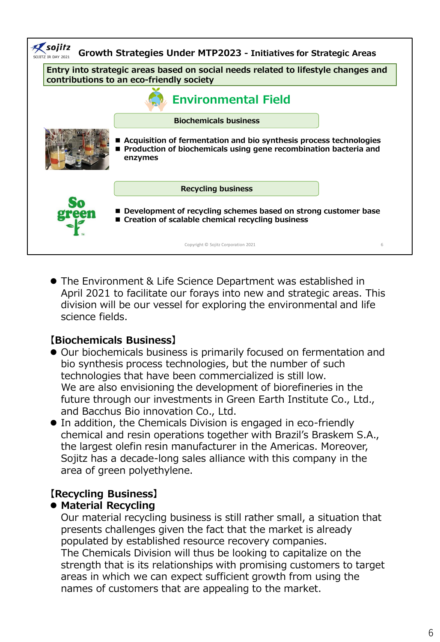

● The Environment & Life Science Department was established in April 2021 to facilitate our forays into new and strategic areas. This division will be our vessel for exploring the environmental and life science fields.

### **【Biochemicals Business】**

- ⚫ Our biochemicals business is primarily focused on fermentation and bio synthesis process technologies, but the number of such technologies that have been commercialized is still low. We are also envisioning the development of biorefineries in the future through our investments in Green Earth Institute Co., Ltd., and Bacchus Bio innovation Co., Ltd.
- ⚫ In addition, the Chemicals Division is engaged in eco-friendly chemical and resin operations together with Brazil's Braskem S.A., the largest olefin resin manufacturer in the Americas. Moreover, Sojitz has a decade-long sales alliance with this company in the area of green polyethylene.

# **【Recycling Business】**

### ⚫ **Material Recycling**

Our material recycling business is still rather small, a situation that presents challenges given the fact that the market is already populated by established resource recovery companies. The Chemicals Division will thus be looking to capitalize on the strength that is its relationships with promising customers to target areas in which we can expect sufficient growth from using the names of customers that are appealing to the market.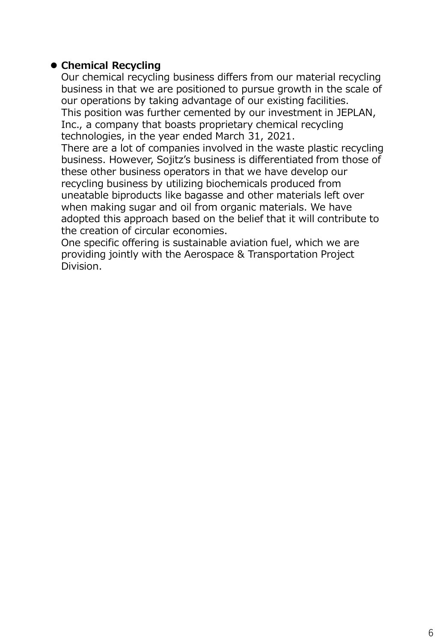## ⚫ **Chemical Recycling**

Our chemical recycling business differs from our material recycling business in that we are positioned to pursue growth in the scale of our operations by taking advantage of our existing facilities. This position was further cemented by our investment in JEPLAN, Inc., a company that boasts proprietary chemical recycling technologies, in the year ended March 31, 2021.

There are a lot of companies involved in the waste plastic recycling business. However, Sojitz's business is differentiated from those of these other business operators in that we have develop our recycling business by utilizing biochemicals produced from uneatable biproducts like bagasse and other materials left over when making sugar and oil from organic materials. We have adopted this approach based on the belief that it will contribute to the creation of circular economies.

One specific offering is sustainable aviation fuel, which we are providing jointly with the Aerospace & Transportation Project Division.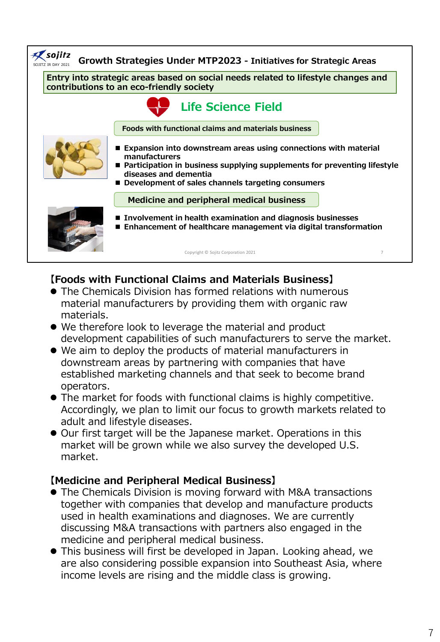

# **【Foods with Functional Claims and Materials Business】**

- ⚫ The Chemicals Division has formed relations with numerous material manufacturers by providing them with organic raw materials.
- We therefore look to leverage the material and product development capabilities of such manufacturers to serve the market.
- ⚫ We aim to deploy the products of material manufacturers in downstream areas by partnering with companies that have established marketing channels and that seek to become brand operators.
- ⚫ The market for foods with functional claims is highly competitive. Accordingly, we plan to limit our focus to growth markets related to adult and lifestyle diseases.
- ⚫ Our first target will be the Japanese market. Operations in this market will be grown while we also survey the developed U.S. market.

### **【Medicine and Peripheral Medical Business】**

- The Chemicals Division is moving forward with M&A transactions together with companies that develop and manufacture products used in health examinations and diagnoses. We are currently discussing M&A transactions with partners also engaged in the medicine and peripheral medical business.
- ⚫ This business will first be developed in Japan. Looking ahead, we are also considering possible expansion into Southeast Asia, where income levels are rising and the middle class is growing.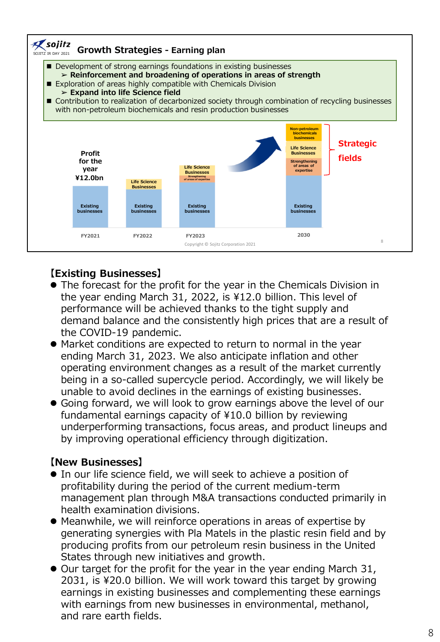

# **【Existing Businesses】**

- ⚫ The forecast for the profit for the year in the Chemicals Division in the year ending March 31, 2022, is ¥12.0 billion. This level of performance will be achieved thanks to the tight supply and demand balance and the consistently high prices that are a result of the COVID-19 pandemic.
- ⚫ Market conditions are expected to return to normal in the year ending March 31, 2023. We also anticipate inflation and other operating environment changes as a result of the market currently being in a so-called supercycle period. Accordingly, we will likely be unable to avoid declines in the earnings of existing businesses.
- ⚫ Going forward, we will look to grow earnings above the level of our fundamental earnings capacity of ¥10.0 billion by reviewing underperforming transactions, focus areas, and product lineups and by improving operational efficiency through digitization.

# **【New Businesses】**

- ⚫ In our life science field, we will seek to achieve a position of profitability during the period of the current medium-term management plan through M&A transactions conducted primarily in health examination divisions.
- ⚫ Meanwhile, we will reinforce operations in areas of expertise by generating synergies with Pla Matels in the plastic resin field and by producing profits from our petroleum resin business in the United States through new initiatives and growth.
- ⚫ Our target for the profit for the year in the year ending March 31, 2031, is ¥20.0 billion. We will work toward this target by growing earnings in existing businesses and complementing these earnings with earnings from new businesses in environmental, methanol, and rare earth fields.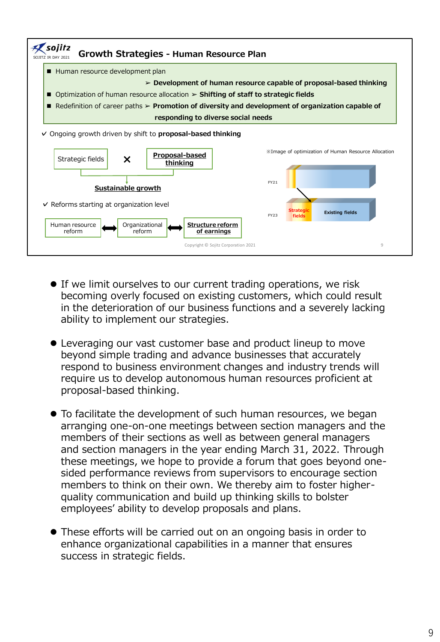

- If we limit ourselves to our current trading operations, we risk becoming overly focused on existing customers, which could result in the deterioration of our business functions and a severely lacking ability to implement our strategies.
- ⚫ Leveraging our vast customer base and product lineup to move beyond simple trading and advance businesses that accurately respond to business environment changes and industry trends will require us to develop autonomous human resources proficient at proposal-based thinking.
- ⚫ To facilitate the development of such human resources, we began arranging one-on-one meetings between section managers and the members of their sections as well as between general managers and section managers in the year ending March 31, 2022. Through these meetings, we hope to provide a forum that goes beyond onesided performance reviews from supervisors to encourage section members to think on their own. We thereby aim to foster higherquality communication and build up thinking skills to bolster employees' ability to develop proposals and plans.
- ⚫ These efforts will be carried out on an ongoing basis in order to enhance organizational capabilities in a manner that ensures success in strategic fields.